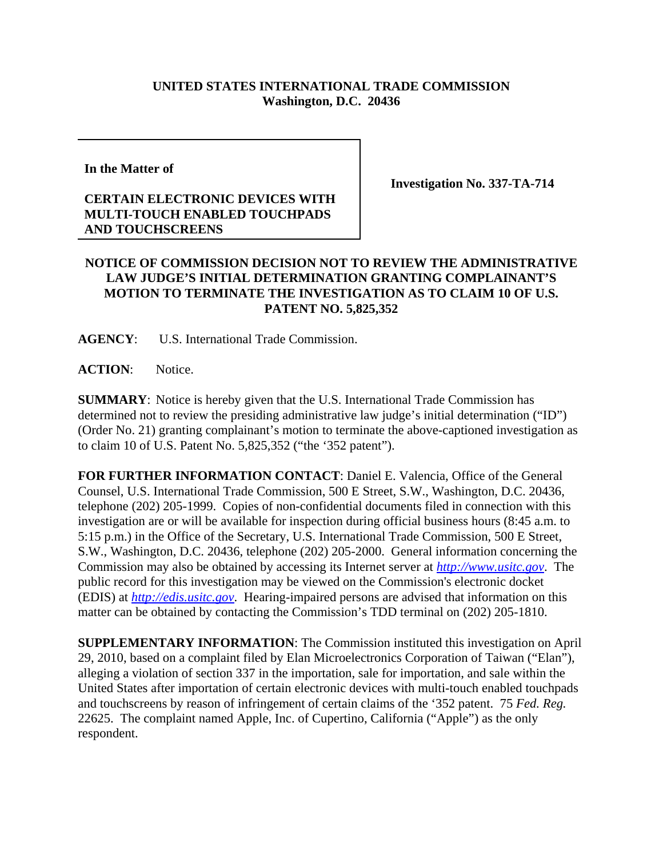## **UNITED STATES INTERNATIONAL TRADE COMMISSION Washington, D.C. 20436**

**In the Matter of** 

## **CERTAIN ELECTRONIC DEVICES WITH MULTI-TOUCH ENABLED TOUCHPADS AND TOUCHSCREENS**

**Investigation No. 337-TA-714**

## **NOTICE OF COMMISSION DECISION NOT TO REVIEW THE ADMINISTRATIVE LAW JUDGE'S INITIAL DETERMINATION GRANTING COMPLAINANT'S MOTION TO TERMINATE THE INVESTIGATION AS TO CLAIM 10 OF U.S. PATENT NO. 5,825,352**

**AGENCY**: U.S. International Trade Commission.

**ACTION**: Notice.

**SUMMARY**: Notice is hereby given that the U.S. International Trade Commission has determined not to review the presiding administrative law judge's initial determination ("ID") (Order No. 21) granting complainant's motion to terminate the above-captioned investigation as to claim 10 of U.S. Patent No. 5,825,352 ("the '352 patent").

**FOR FURTHER INFORMATION CONTACT**: Daniel E. Valencia, Office of the General Counsel, U.S. International Trade Commission, 500 E Street, S.W., Washington, D.C. 20436, telephone (202) 205-1999. Copies of non-confidential documents filed in connection with this investigation are or will be available for inspection during official business hours (8:45 a.m. to 5:15 p.m.) in the Office of the Secretary, U.S. International Trade Commission, 500 E Street, S.W., Washington, D.C. 20436, telephone (202) 205-2000. General information concerning the Commission may also be obtained by accessing its Internet server at *http://www.usitc.gov*. The public record for this investigation may be viewed on the Commission's electronic docket (EDIS) at *http://edis.usitc.gov*. Hearing-impaired persons are advised that information on this matter can be obtained by contacting the Commission's TDD terminal on (202) 205-1810.

**SUPPLEMENTARY INFORMATION**: The Commission instituted this investigation on April 29, 2010, based on a complaint filed by Elan Microelectronics Corporation of Taiwan ("Elan"), alleging a violation of section 337 in the importation, sale for importation, and sale within the United States after importation of certain electronic devices with multi-touch enabled touchpads and touchscreens by reason of infringement of certain claims of the '352 patent. 75 *Fed. Reg.* 22625. The complaint named Apple, Inc. of Cupertino, California ("Apple") as the only respondent.